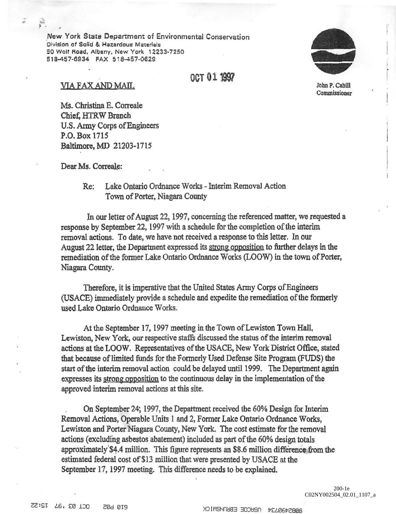New York State Department of Environmental Conservation **Division of Solid & Hazardous Materials** 50 Wolf Road. Albany, New York *12233·7250*  518-457-6934 FAX 518-457-0629



I' !

John P. Cahill Commissioner

## VIA FAX AND MAIL

· ! ... .

Ms. Christina E. Correale Chief, HTRW Branch U.S. Army Corps of Engineers P.O. Box 1715 Baltimore, MD 21203-1715

Dear Ms. Correale:

Re: Lake Ontario Ordnance Works - Interim Removal Action Town of Porter, Niagara County

In our letter of August 22, 1997, concerning the referenced matter, we requested a response by September 22, 1997 with a schedule for the completion of the interim removal actions. To date, we have not received a response to this letter. In our August 22 letter, the Department expressed its strong opposition to further delays in the remediation of the former Lake Ontario Ordnance Works (LOOW) in the town of Porter, Niagara County.

OCT **011997** 

Therefore, it is imperative that the United States Army Corps of Engineers (USACE) immediately provide a schedule and expedite the remediation of the formerly used Lake Ontario Ordnance Works.

At the September 17. 1997 meeting in the Town of Lewiston Town Hall, Lewiston, New York, our respective staffs discussed the status of the interim removal actions at the LOOW. Representatives of the USACE, New York District Office, stated that because of limited funds for the Formerly Used Defense Site Program (FUDS) the start of the interim removal action could be delayed until 1999. The Department again expresses its strong opposition to the continuous delay in the implementation of the approved interim removal actions at this site.

On September 24; 1997, the Department received the 60% Design for Interim Removal Actions, Operable Units 1 and 2, Former Lake Ontario Ordnance Works, Lewiston and Porter Niagara County, New Yark. The cost estimate for the removal actions (excluding asbestos abatement) included as part of the 60% design totals approximately \$4.4 million. This figure represents an \$8.6 million difference from the estimated federal cost of \$13 million that were presented by USACE at the September 17. 1997 meeting. This difference needs to be explained.

> 200-1e C02NY002504\_02.01\_1107\_a